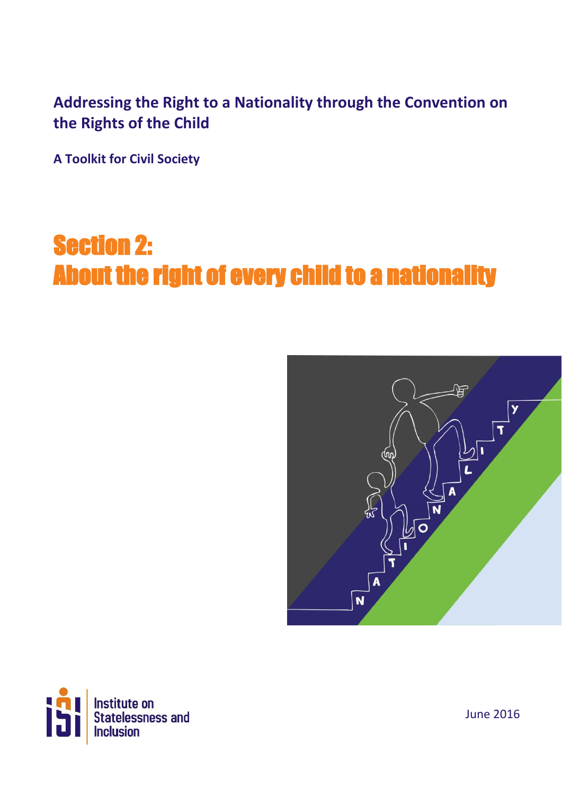## **Addressing the Right to a Nationality through the Convention on the Rights of the Child**

**A Toolkit for Civil Society**

## Section 2: About the right of every child to a nationality Ξ





June 2016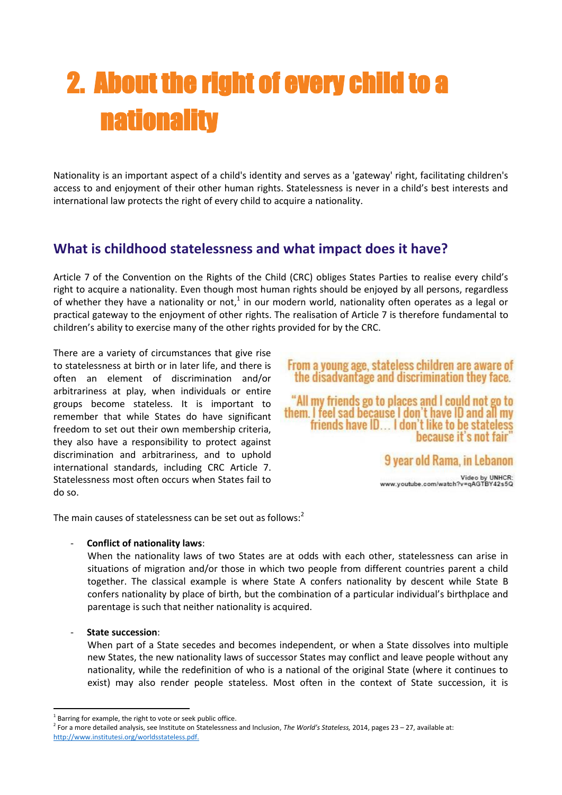# 2. About the right of every child to a nationality

Nationality is an important aspect of a child's identity and serves as a 'gateway' right, facilitating children's access to and enjoyment of their other human rights. Statelessness is never in a child's best interests and international law protects the right of every child to acquire a nationality.

## **What is childhood statelessness and what impact does it have?**

Article 7 of the Convention on the Rights of the Child (CRC) obliges States Parties to realise every child's right to acquire a nationality. Even though most human rights should be enjoyed by all persons, regardless of whether they have a nationality or not,<sup>1</sup> in our modern world, nationality often operates as a legal or practical gateway to the enjoyment of other rights. The realisation of Article 7 is therefore fundamental to children's ability to exercise many of the other rights provided for by the CRC.

There are a variety of circumstances that give rise to statelessness at birth or in later life, and there is often an element of discrimination and/or arbitrariness at play, when individuals or entire groups become stateless. It is important to remember that while States do have significant freedom to set out their own membership criteria, they also have a responsibility to protect against discrimination and arbitrariness, and to uphold international standards, including CRC Article 7. Statelessness most often occurs when States fail to do so.



.<br>Video by UNHCR:<br>www.youtube.com/watch?v=qAGTBY42s5Q

The main causes of statelessness can be set out as follows:<sup>2</sup>

#### - **Conflict of nationality laws**:

When the nationality laws of two States are at odds with each other, statelessness can arise in situations of migration and/or those in which two people from different countries parent a child together. The classical example is where State A confers nationality by descent while State B confers nationality by place of birth, but the combination of a particular individual's birthplace and parentage is such that neither nationality is acquired.

#### - **State succession**:

When part of a State secedes and becomes independent, or when a State dissolves into multiple new States, the new nationality laws of successor States may conflict and leave people without any nationality, while the redefinition of who is a national of the original State (where it continues to exist) may also render people stateless. Most often in the context of State succession, it is

**<sup>.</sup>**  $1$  Barring for example, the right to vote or seek public office.

<sup>2</sup> For a more detailed analysis, see Institute on Statelessness and Inclusion, *The World's Stateless,* 2014, pages 23 – 27, available at: [http://www.institutesi.org/worldsstateless.pdf.](http://www.institutesi.org/worldsstateless.pdf)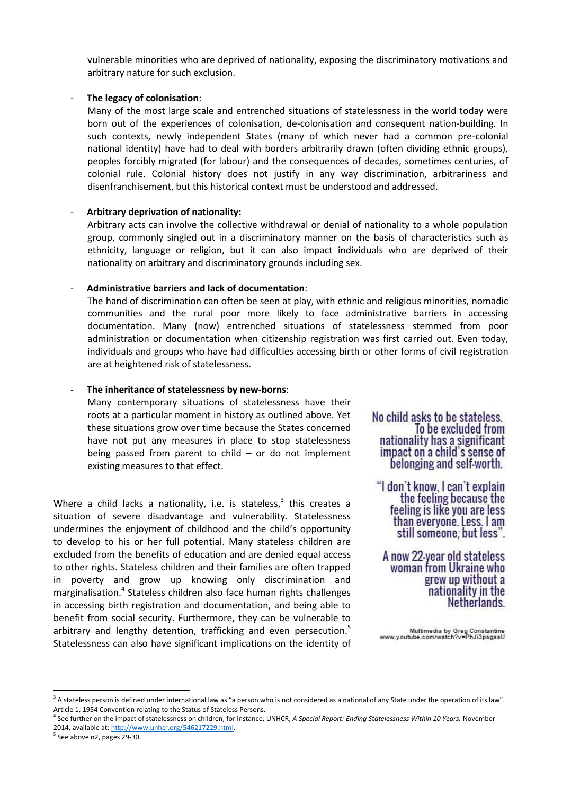vulnerable minorities who are deprived of nationality, exposing the discriminatory motivations and arbitrary nature for such exclusion.

#### The legacy of colonisation:

Many of the most large scale and entrenched situations of statelessness in the world today were born out of the experiences of colonisation, de-colonisation and consequent nation-building. In such contexts, newly independent States (many of which never had a common pre-colonial national identity) have had to deal with borders arbitrarily drawn (often dividing ethnic groups), peoples forcibly migrated (for labour) and the consequences of decades, sometimes centuries, of colonial rule. Colonial history does not justify in any way discrimination, arbitrariness and disenfranchisement, but this historical context must be understood and addressed.

#### - **Arbitrary deprivation of nationality:**

Arbitrary acts can involve the collective withdrawal or denial of nationality to a whole population group, commonly singled out in a discriminatory manner on the basis of characteristics such as ethnicity, language or religion, but it can also impact individuals who are deprived of their nationality on arbitrary and discriminatory grounds including sex.

#### - **Administrative barriers and lack of documentation**:

The hand of discrimination can often be seen at play, with ethnic and religious minorities, nomadic communities and the rural poor more likely to face administrative barriers in accessing documentation. Many (now) entrenched situations of statelessness stemmed from poor administration or documentation when citizenship registration was first carried out. Even today, individuals and groups who have had difficulties accessing birth or other forms of civil registration are at heightened risk of statelessness.

#### - **The inheritance of statelessness by new-borns**:

Many contemporary situations of statelessness have their roots at a particular moment in history as outlined above. Yet these situations grow over time because the States concerned have not put any measures in place to stop statelessness being passed from parent to child  $-$  or do not implement existing measures to that effect.

Where a child lacks a nationality, i.e. is stateless, $3$  this creates a situation of severe disadvantage and vulnerability. Statelessness undermines the enjoyment of childhood and the child's opportunity to develop to his or her full potential. Many stateless children are excluded from the benefits of education and are denied equal access to other rights. Stateless children and their families are often trapped in poverty and grow up knowing only discrimination and marginalisation.<sup>4</sup> Stateless children also face human rights challenges in accessing birth registration and documentation, and being able to benefit from social security. Furthermore, they can be vulnerable to arbitrary and lengthy detention, trafficking and even persecution.<sup>5</sup> Statelessness can also have significant implications on the identity of No child asks to be stateless. To be excluded from nationality has a significant impact on a child's sense of belonging and self-worth.

"I don't know, I can't explain the feeling because the feeling is like you are less than everyone. Less. I am still someone, but less".

A now 22-year old stateless woman from Ukraine who grew up without a nationality in the Netherlands.

Multimedia by Greg Constantine<br>www.youtube.com/watch?v=PhJi3pagaaU

**.** 

 $3$  A stateless person is defined under international law as "a person who is not considered as a national of any State under the operation of its law". Article 1, 1954 Convention relating to the Status of Stateless Persons.

<sup>4</sup> See further on the impact of statelessness on children, for instance, UNHCR, *A Special Report: Ending Statelessness Within 10 Years,* November 2014, available at: [http://www.unhcr.org/546217229.html.](http://www.unhcr.org/546217229.html)

<sup>5</sup> See above n2, pages 29-30.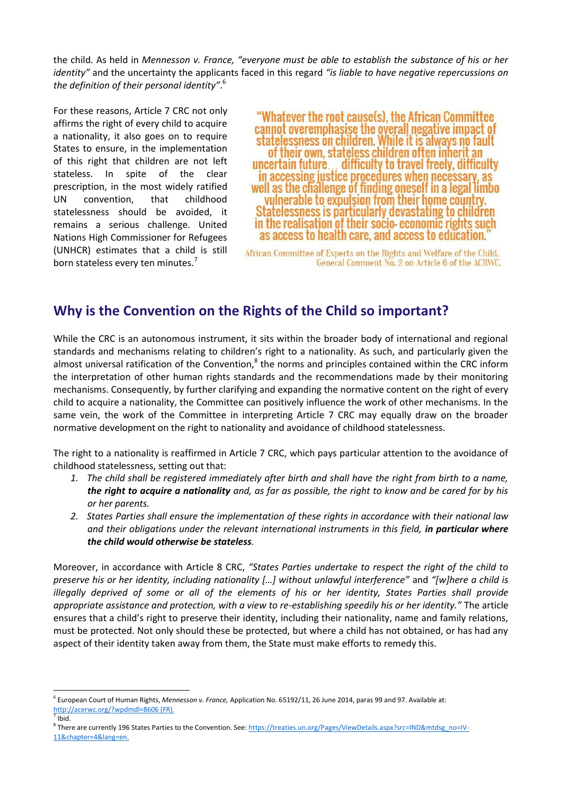the child. As held in *Mennesson v. France, "everyone must be able to establish the substance of his or her identity"* and the uncertainty the applicants faced in this regard *"is liable to have negative repercussions on the definition of their personal identity"*. 6

For these reasons, Article 7 CRC not only affirms the right of every child to acquire a nationality, it also goes on to require States to ensure, in the implementation of this right that children are not left stateless. In spite of the clear prescription, in the most widely ratified UN convention, that childhood statelessness should be avoided, it remains a serious challenge. United Nations High Commissioner for Refugees (UNHCR) estimates that a child is still born stateless every ten minutes.<sup>7</sup>

"Whatever the root cause(s), the African Committee" cannot overemphasise the overall negative impact of statelessness on children. While it is always no fault of their own, stateless children often inherit an uncertain future... difficulty to travel freely, difficulty in accessing justice procedures when necessary, as well as the challenge of finding oneself in a legal limbo vulnerable to expulsion from their home country. Statelessness is particularly devastating to children in the realisation of their socio-economic rights such as access to health care, and access to education.

African Committee of Experts on the Rights and Welfare of the Child, General Comment No. 2 on Article 6 of the ACRWC.

### **Why is the Convention on the Rights of the Child so important?**

While the CRC is an autonomous instrument, it sits within the broader body of international and regional standards and mechanisms relating to children's right to a nationality. As such, and particularly given the almost universal ratification of the Convention, $^8$  the norms and principles contained within the CRC inform the interpretation of other human rights standards and the recommendations made by their monitoring mechanisms. Consequently, by further clarifying and expanding the normative content on the right of every child to acquire a nationality, the Committee can positively influence the work of other mechanisms. In the same vein, the work of the Committee in interpreting Article 7 CRC may equally draw on the broader normative development on the right to nationality and avoidance of childhood statelessness.

The right to a nationality is reaffirmed in Article 7 CRC, which pays particular attention to the avoidance of childhood statelessness, setting out that:

- *1. The child shall be registered immediately after birth and shall have the right from birth to a name, the right to acquire a nationality and, as far as possible, the right to know and be cared for by his or her parents.*
- *2. States Parties shall ensure the implementation of these rights in accordance with their national law*  and their obligations under the relevant international instruments in this field, in particular where *the child would otherwise be stateless.*

Moreover, in accordance with Article 8 CRC, *"States Parties undertake to respect the right of the child to preserve his or her identity, including nationality […] without unlawful interference"* and *"[w]here a child is illegally deprived of some or all of the elements of his or her identity, States Parties shall provide appropriate assistance and protection, with a view to re-establishing speedily his or her identity."* The article ensures that a child's right to preserve their identity, including their nationality, name and family relations, must be protected. Not only should these be protected, but where a child has not obtained, or has had any aspect of their identity taken away from them, the State must make efforts to remedy this.

**.** 

<sup>6</sup> European Court of Human Rights, *Mennesson v. France,* Application No. 65192/11, 26 June 2014, paras 99 and 97. Available at: <http://acerwc.org/?wpdmdl=8606> (FR).

 $<sup>7</sup>$  Ibid.</sup>

<sup>&</sup>lt;sup>8</sup> There are currently 196 States Parties to the Convention. See[: https://treaties.un.org/Pages/ViewDetails.aspx?src=IND&mtdsg\\_no=IV-](https://treaties.un.org/Pages/ViewDetails.aspx?src=IND&mtdsg_no=IV-11&chapter=4&lang=en)[11&chapter=4&lang=en.](https://treaties.un.org/Pages/ViewDetails.aspx?src=IND&mtdsg_no=IV-11&chapter=4&lang=en)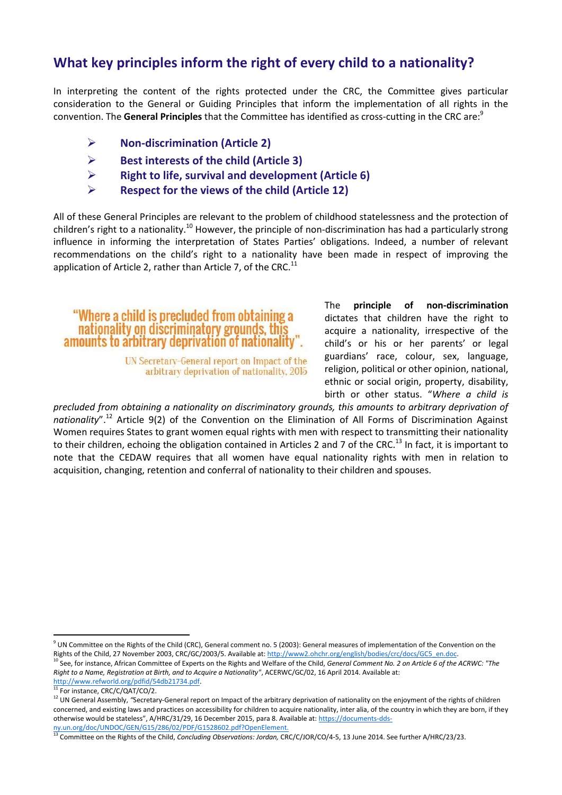## **What key principles inform the right of every child to a nationality?**

In interpreting the content of the rights protected under the CRC, the Committee gives particular consideration to the General or Guiding Principles that inform the implementation of all rights in the convention. The **General Principles** that the Committee has identified as cross-cutting in the CRC are:<sup>9</sup>

- **Non-discrimination (Article 2)**
- **Best interests of the child (Article 3)**
- **Right to life, survival and development (Article 6)**
- **Respect for the views of the child (Article 12)**

All of these General Principles are relevant to the problem of childhood statelessness and the protection of children's right to a nationality.<sup>10</sup> However, the principle of non-discrimination has had a particularly strong influence in informing the interpretation of States Parties' obligations. Indeed, a number of relevant recommendations on the child's right to a nationality have been made in respect of improving the application of Article 2, rather than Article 7, of the CRC. $^{11}$ 

"Where a child is precluded from obtaining a nationality on discriminatory grounds, this amounts to arbitrary deprivation of nationality".

> UN Secretary-General report on Impact of the arbitrary deprivation of nationality, 2015

The **principle of non-discrimination** dictates that children have the right to acquire a nationality, irrespective of the child's or his or her parents' or legal guardians' race, colour, sex, language, religion, political or other opinion, national, ethnic or social origin, property, disability, birth or other status. "*Where a child is* 

*precluded from obtaining a nationality on discriminatory grounds, this amounts to arbitrary deprivation of nationality*".<sup>12</sup> Article 9(2) of the Convention on the Elimination of All Forms of Discrimination Against Women requires States to grant women equal rights with men with respect to transmitting their nationality to their children, echoing the obligation contained in Articles 2 and 7 of the CRC.<sup>13</sup> In fact, it is important to note that the CEDAW requires that all women have equal nationality rights with men in relation to acquisition, changing, retention and conferral of nationality to their children and spouses.

 $\overline{a}$ 

 $^9$  UN Committee on the Rights of the Child (CRC), General comment no. 5 (2003): General measures of implementation of the Convention on the Rights of the Child, 27 November 2003, CRC/GC/2003/5. Available at[: http://www2.ohchr.org/english/bodies/crc/docs/GC5\\_en.doc.](http://www2.ohchr.org/english/bodies/crc/docs/GC5_en.doc)

<sup>10</sup> See, for instance, African Committee of Experts on the Rights and Welfare of the Child, *General Comment No. 2 on Article 6 of the ACRWC: "The Right to a Name, Registration at Birth, and to Acquire a Nationality"*, ACERWC/GC/02, 16 April 2014. Available at:

[http://www.refworld.org/pdfid/54db21734.pdf.](http://www.refworld.org/pdfid/54db21734.pdf)

 $\frac{11}{11}$  For instance, CRC/C/QAT/CO/2.

<sup>&</sup>lt;sup>12</sup> UN General Assembly, "Secretary-General report on Impact of the arbitrary deprivation of nationality on the enjoyment of the rights of children concerned, and existing laws and practices on accessibility for children to acquire nationality, inter alia, of the country in which they are born, if they otherwise would be stateless", A/HRC/31/29, 16 December 2015, para 8. Available at[: https://documents-dds-](https://documents-dds-ny.un.org/doc/UNDOC/GEN/G15/286/02/PDF/G1528602.pdf?OpenElement)

[ny.un.org/doc/UNDOC/GEN/G15/286/02/PDF/G1528602.pdf?OpenElement.](https://documents-dds-ny.un.org/doc/UNDOC/GEN/G15/286/02/PDF/G1528602.pdf?OpenElement) <sup>13</sup> Committee on the Rights of the Child, *Concluding Observations: Jordan,* CRC/C/JOR/CO/4-5, 13 June 2014. See further A/HRC/23/23.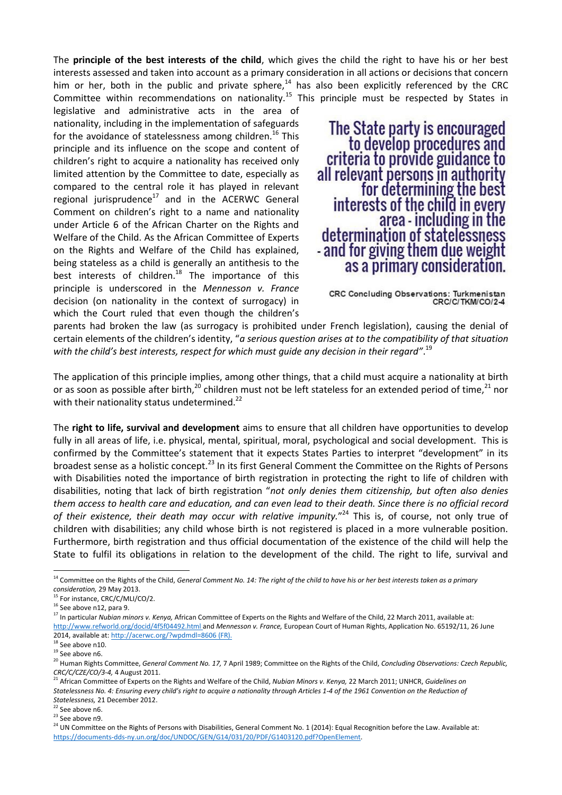The **principle of the best interests of the child**, which gives the child the right to have his or her best interests assessed and taken into account as a primary consideration in all actions or decisions that concern him or her, both in the public and private sphere,<sup>14</sup> has also been explicitly referenced by the CRC Committee within recommendations on nationality.<sup>15</sup> This principle must be respected by States in

legislative and administrative acts in the area of nationality, including in the implementation of safeguards for the avoidance of statelessness among children.<sup>16</sup> This principle and its influence on the scope and content of children's right to acquire a nationality has received only limited attention by the Committee to date, especially as compared to the central role it has played in relevant regional jurisprudence $17$  and in the ACERWC General Comment on children's right to a name and nationality under Article 6 of the African Charter on the Rights and Welfare of the Child. As the African Committee of Experts on the Rights and Welfare of the Child has explained, being stateless as a child is generally an antithesis to the best interests of children.<sup>18</sup> The importance of this principle is underscored in the *Mennesson v. France*  decision (on nationality in the context of surrogacy) in which the Court ruled that even though the children's

The State party is encouraged to develop procedures and criteria to provide guidance to all relevant persons in authority for determining the best interests of the child in every area - including in the determination of statelessness - and for giving them due weight as a primary consideration.

parents had broken the law (as surrogacy is prohibited under French legislation), causing the denial of certain elements of the children's identity, "*a serious question arises at to the compatibility of that situation with the child's best interests, respect for which must guide any decision in their regard"*. 19

The application of this principle implies, among other things, that a child must acquire a nationality at birth or as soon as possible after birth,<sup>20</sup> children must not be left stateless for an extended period of time,<sup>21</sup> nor with their nationality status undetermined.<sup>22</sup>

The **right to life, survival and development** aims to ensure that all children have opportunities to develop fully in all areas of life, i.e. physical, mental, spiritual, moral, psychological and social development. This is confirmed by the Committee's statement that it expects States Parties to interpret "development" in its broadest sense as a holistic concept.<sup>23</sup> In its first General Comment the Committee on the Rights of Persons with Disabilities noted the importance of birth registration in protecting the right to life of children with disabilities, noting that lack of birth registration "*not only denies them citizenship, but often also denies them access to health care and education, and can even lead to their death. Since there is no official record*  of their existence, their death may occur with relative impunity."<sup>24</sup> This is, of course, not only true of children with disabilities; any child whose birth is not registered is placed in a more vulnerable position. Furthermore, birth registration and thus official documentation of the existence of the child will help the State to fulfil its obligations in relation to the development of the child. The right to life, survival and

1

CRC Concluding Observations: Turkmenistan CRC/C/TKM/CO/2-4

<sup>14</sup> Committee on the Rights of the Child, *General Comment No. 14: The right of the child to have his or her best interests taken as a primary consideration,* 29 May 2013.

<sup>&</sup>lt;sup>15</sup> For instance, CRC/C/MLI/CO/2.

<sup>&</sup>lt;sup>16</sup> See above n12, para 9.

<sup>17</sup> In particular *Nubian minors v. Kenya,* African Committee of Experts on the Rights and Welfare of the Child, 22 March 2011, available at: <http://www.refworld.org/docid/4f5f04492.html> and *Mennesson v. France,* European Court of Human Rights, Application No. 65192/11, 26 June 2014, available at:<http://acerwc.org/?wpdmdl=8606> (FR).

<sup>&</sup>lt;sup>18</sup> See above n10.

 $19$  See above n6.

<sup>20</sup> Human Rights Committee, *General Comment No. 17,* 7 April 1989; Committee on the Rights of the Child, *Concluding Observations: Czech Republic, CRC/C/CZE/CO/3-4,* 4 August 2011.

<sup>21</sup> African Committee of Experts on the Rights and Welfare of the Child, *Nubian Minors v. Kenya,* 22 March 2011; UNHCR, *Guidelines on*  Statelessness No. 4: Ensuring every child's right to acquire a nationality through Articles 1-4 of the 1961 Convention on the Reduction of *Statelessness,* 21 December 2012.

 $22$  See above n6.

 $23$  See above n9.

<sup>&</sup>lt;sup>24</sup> UN Committee on the Rights of Persons with Disabilities, General Comment No. 1 (2014): Equal Recognition before the Law. Available at: [https://documents-dds-ny.un.org/doc/UNDOC/GEN/G14/031/20/PDF/G1403120.pdf?OpenElement.](https://documents-dds-ny.un.org/doc/UNDOC/GEN/G14/031/20/PDF/G1403120.pdf?OpenElement)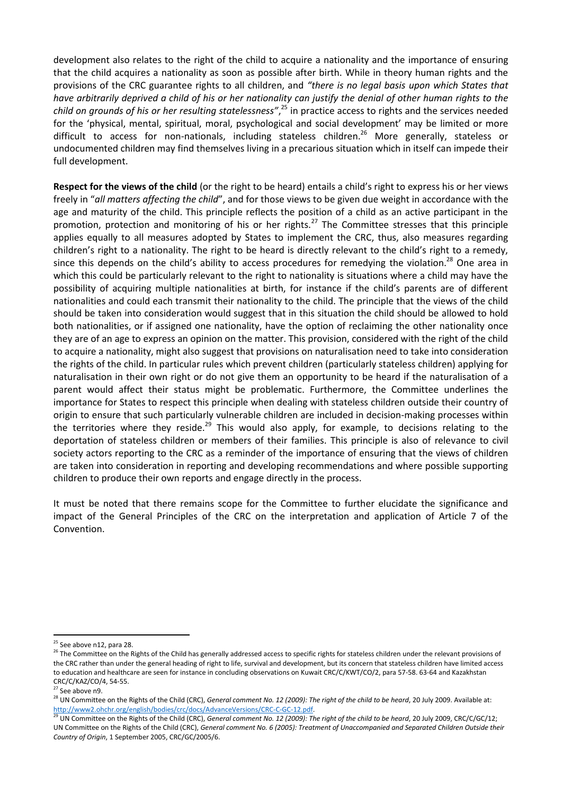development also relates to the right of the child to acquire a nationality and the importance of ensuring that the child acquires a nationality as soon as possible after birth. While in theory human rights and the provisions of the CRC guarantee rights to all children, and *"there is no legal basis upon which States that have arbitrarily deprived a child of his or her nationality can justify the denial of other human rights to the child on grounds of his or her resulting statelessness"*, <sup>25</sup> in practice access to rights and the services needed for the 'physical, mental, spiritual, moral, psychological and social development' may be limited or more difficult to access for non-nationals, including stateless children.<sup>26</sup> More generally, stateless or undocumented children may find themselves living in a precarious situation which in itself can impede their full development.

**Respect for the views of the child** (or the right to be heard) entails a child's right to express his or her views freely in "*all matters affecting the child*", and for those views to be given due weight in accordance with the age and maturity of the child. This principle reflects the position of a child as an active participant in the promotion, protection and monitoring of his or her rights.<sup>27</sup> The Committee stresses that this principle applies equally to all measures adopted by States to implement the CRC, thus, also measures regarding children's right to a nationality. The right to be heard is directly relevant to the child's right to a remedy, since this depends on the child's ability to access procedures for remedying the violation.<sup>28</sup> One area in which this could be particularly relevant to the right to nationality is situations where a child may have the possibility of acquiring multiple nationalities at birth, for instance if the child's parents are of different nationalities and could each transmit their nationality to the child. The principle that the views of the child should be taken into consideration would suggest that in this situation the child should be allowed to hold both nationalities, or if assigned one nationality, have the option of reclaiming the other nationality once they are of an age to express an opinion on the matter. This provision, considered with the right of the child to acquire a nationality, might also suggest that provisions on naturalisation need to take into consideration the rights of the child. In particular rules which prevent children (particularly stateless children) applying for naturalisation in their own right or do not give them an opportunity to be heard if the naturalisation of a parent would affect their status might be problematic. Furthermore, the Committee underlines the importance for States to respect this principle when dealing with stateless children outside their country of origin to ensure that such particularly vulnerable children are included in decision-making processes within the territories where they reside.<sup>29</sup> This would also apply, for example, to decisions relating to the deportation of stateless children or members of their families. This principle is also of relevance to civil society actors reporting to the CRC as a reminder of the importance of ensuring that the views of children are taken into consideration in reporting and developing recommendations and where possible supporting children to produce their own reports and engage directly in the process.

It must be noted that there remains scope for the Committee to further elucidate the significance and impact of the General Principles of the CRC on the interpretation and application of Article 7 of the Convention.

 $\overline{a}$ <sup>25</sup> See above n12, para 28.

<sup>&</sup>lt;sup>26</sup> The Committee on the Rights of the Child has generally addressed access to specific rights for stateless children under the relevant provisions of the CRC rather than under the general heading of right to life, survival and development, but its concern that stateless children have limited access to education and healthcare are seen for instance in concluding observations on Kuwait CRC/C/KWT/CO/2, para 57-58. 63-64 and Kazakhstan CRC/C/KAZ/CO/4, 54-55.

<sup>&</sup>lt;sup>27</sup> See above n9.

<sup>28</sup> UN Committee on the Rights of the Child (CRC), *General comment No. 12 (2009): The right of the child to be heard*, 20 July 2009. Available at: [http://www2.ohchr.org/english/bodies/crc/docs/AdvanceVersions/CRC-C-GC-12.pdf.](http://www2.ohchr.org/english/bodies/crc/docs/AdvanceVersions/CRC-C-GC-12.pdf) 

<sup>&</sup>lt;sup>29</sup> UN Committee on the Rights of the Child (CRC), *General comment No. 12 (2009): The right of the child to be heard, 20 July 2009, CRC/C/GC/12;* UN Committee on the Rights of the Child (CRC), *General comment No. 6 (2005): Treatment of Unaccompanied and Separated Children Outside their Country of Origin*, 1 September 2005, CRC/GC/2005/6.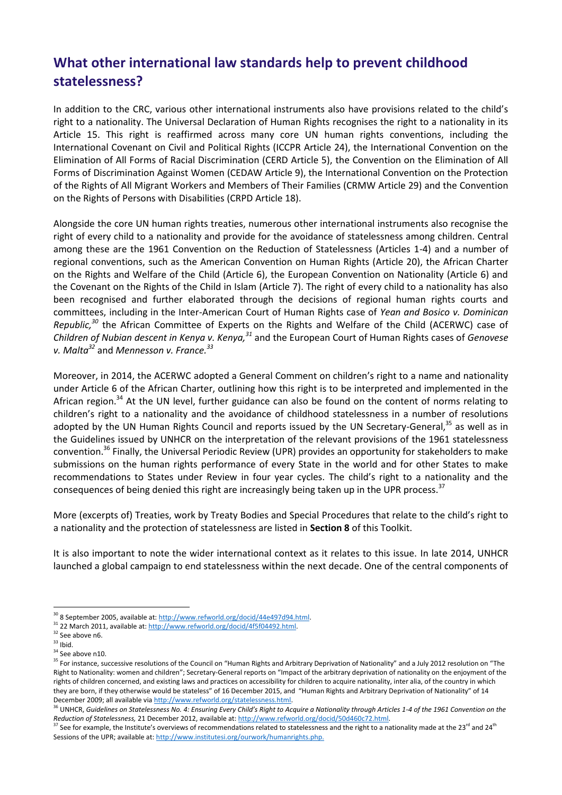## **What other international law standards help to prevent childhood statelessness?**

In addition to the CRC, various other international instruments also have provisions related to the child's right to a nationality. The Universal Declaration of Human Rights recognises the right to a nationality in its Article 15. This right is reaffirmed across many core UN human rights conventions, including the International Covenant on Civil and Political Rights (ICCPR Article 24), the International Convention on the Elimination of All Forms of Racial Discrimination (CERD Article 5), the Convention on the Elimination of All Forms of Discrimination Against Women (CEDAW Article 9), the International Convention on the Protection of the Rights of All Migrant Workers and Members of Their Families (CRMW Article 29) and the Convention on the Rights of Persons with Disabilities (CRPD Article 18).

Alongside the core UN human rights treaties, numerous other international instruments also recognise the right of every child to a nationality and provide for the avoidance of statelessness among children. Central among these are the 1961 Convention on the Reduction of Statelessness (Articles 1-4) and a number of regional conventions, such as the American Convention on Human Rights (Article 20), the African Charter on the Rights and Welfare of the Child (Article 6), the European Convention on Nationality (Article 6) and the Covenant on the Rights of the Child in Islam (Article 7). The right of every child to a nationality has also been recognised and further elaborated through the decisions of regional human rights courts and committees, including in the Inter-American Court of Human Rights case of *Yean and Bosico v. Dominican Republic,<sup>30</sup>* the African Committee of Experts on the Rights and Welfare of the Child (ACERWC) case of *Children of Nubian descent in Kenya v. Kenya,<sup>31</sup>* and the European Court of Human Rights cases of *Genovese v. Malta<sup>32</sup>* and *Mennesson v. France.<sup>33</sup>*

Moreover, in 2014, the ACERWC adopted a General Comment on children's right to a name and nationality under Article 6 of the African Charter, outlining how this right is to be interpreted and implemented in the African region.<sup>34</sup> At the UN level, further guidance can also be found on the content of norms relating to children's right to a nationality and the avoidance of childhood statelessness in a number of resolutions adopted by the UN Human Rights Council and reports issued by the UN Secretary-General,<sup>35</sup> as well as in the Guidelines issued by UNHCR on the interpretation of the relevant provisions of the 1961 statelessness convention.<sup>36</sup> Finally, the Universal Periodic Review (UPR) provides an opportunity for stakeholders to make submissions on the human rights performance of every State in the world and for other States to make recommendations to States under Review in four year cycles. The child's right to a nationality and the consequences of being denied this right are increasingly being taken up in the UPR process.<sup>37</sup>

More (excerpts of) Treaties, work by Treaty Bodies and Special Procedures that relate to the child's right to a nationality and the protection of statelessness are listed in **Section 8** of this Toolkit.

It is also important to note the wider international context as it relates to this issue. In late 2014, UNHCR launched a global campaign to end statelessness within the next decade. One of the central components of

1

<sup>&</sup>lt;sup>30</sup> 8 September 2005, available at[: http://www.refworld.org/docid/44e497d94.html.](http://www.refworld.org/docid/44e497d94.html)

<sup>&</sup>lt;sup>31</sup> 22 March 2011, available at: http://www.refworld.org/docid/4f5f04492.html.

 $32$  See above n6.

 $33$  Ibid.

 $34$  See above n10.

<sup>&</sup>lt;sup>35</sup> For instance, successive resolutions of the Council on "Human Rights and Arbitrary Deprivation of Nationality" and a July 2012 resolution on "The Right to Nationality: women and children"; Secretary-General reports on "Impact of the arbitrary deprivation of nationality on the enjoyment of the rights of children concerned, and existing laws and practices on accessibility for children to acquire nationality, inter alia, of the country in which they are born, if they otherwise would be stateless" of 16 December 2015, and "Human Rights and Arbitrary Deprivation of Nationality" of 14 December 2009; all available vi[a http://www.refworld.org/statelessness.html.](http://www.refworld.org/statelessness.html) 

<sup>&</sup>lt;sup>36</sup> UNHCR, Guidelines on Statelessness No. 4: Ensuring Every Child's Right to Acquire a Nationality through Articles 1-4 of the 1961 Convention on the *Reduction of Statelessness,* 21 December 2012, available at[: http://www.refworld.org/docid/50d460c72.html.](http://www.refworld.org/docid/50d460c72.html) 

<sup>&</sup>lt;sup>37</sup> See for example, the Institute's overviews of recommendations related to statelessness and the right to a nationality made at the 23<sup>rd</sup> and 24<sup>th</sup> Sessions of the UPR; available at[: http://www.institutesi.org/ourwork/humanrights.php.](http://www.institutesi.org/ourwork/humanrights.php)